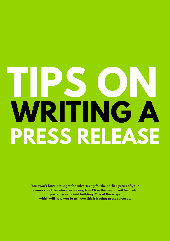## **TIPS ON WRITING A PRESS RELEASE**

**You won't have a budget for advertising for the earlier years of your business and therefore, achieving free PR in the media will be a vital part of your brand building. One of the ways which will help you to achieve this is issuing press releases.**